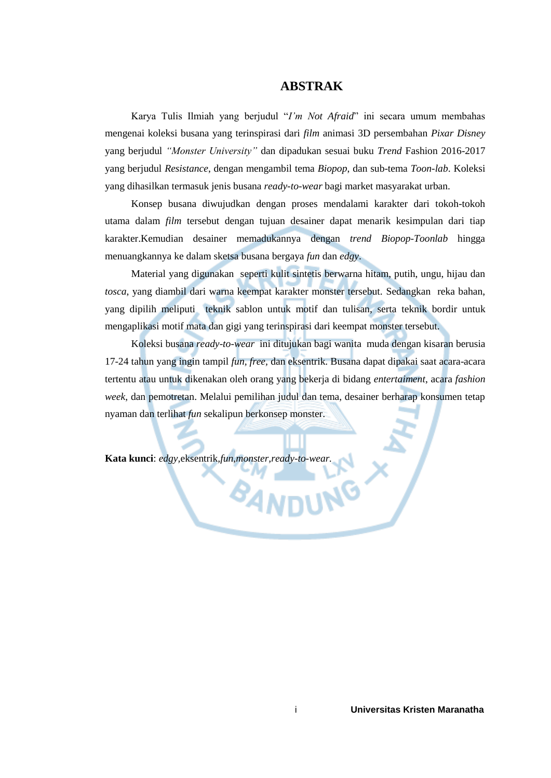#### **ABSTRAK**

Karya Tulis Ilmiah yang berjudul "*I'm Not Afraid*" ini secara umum membahas mengenai koleksi busana yang terinspirasi dari *film* animasi 3D persembahan *Pixar Disney* yang berjudul *"Monster University"* dan dipadukan sesuai buku *Trend* Fashion 2016-2017 yang berjudul *Resistance*, dengan mengambil tema *Biopop*, dan sub-tema *Toon-lab*. Koleksi yang dihasilkan termasuk jenis busana *ready-to-wear* bagi market masyarakat urban.

Konsep busana diwujudkan dengan proses mendalami karakter dari tokoh-tokoh utama dalam *film* tersebut dengan tujuan desainer dapat menarik kesimpulan dari tiap karakter.Kemudian desainer memadukannya dengan *trend Biopop-Toonlab* hingga menuangkannya ke dalam sketsa busana bergaya *fun* dan *edgy*.

Material yang digunakan seperti kulit sintetis berwarna hitam, putih, ungu, hijau dan *tosca*, yang diambil dari warna keempat karakter monster tersebut. Sedangkan reka bahan, yang dipilih meliputi teknik sablon untuk motif dan tulisan, serta teknik bordir untuk mengaplikasi motif mata dan gigi yang terinspirasi dari keempat monster tersebut.

Koleksi busana *ready-to-wear* ini ditujukan bagi wanita muda dengan kisaran berusia 17-24 tahun yang ingin tampil *fun, free,* dan eksentrik. Busana dapat dipakai saat acara-acara tertentu atau untuk dikenakan oleh orang yang bekerja di bidang *entertaiment*, acara *fashion week*, dan pemotretan. Melalui pemilihan judul dan tema, desainer berharap konsumen tetap nyaman dan terlihat *fun* sekalipun berkonsep monster.

**ANDUNG** 

**Kata kunci**: *edgy,*eksentrik*,fun,monster,ready-to-wear.*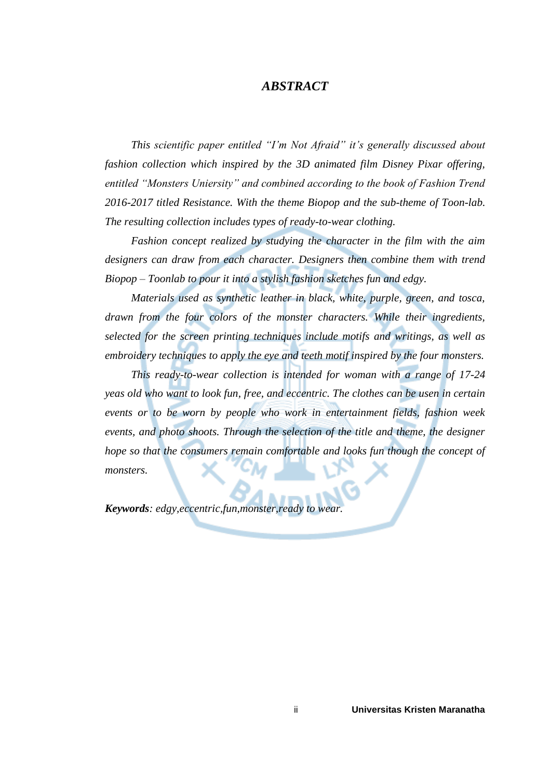### *ABSTRACT*

*This scientific paper entitled "I'm Not Afraid" it's generally discussed about fashion collection which inspired by the 3D animated film Disney Pixar offering, entitled "Monsters Uniersity" and combined according to the book of Fashion Trend 2016-2017 titled Resistance. With the theme Biopop and the sub-theme of Toon-lab. The resulting collection includes types of ready-to-wear clothing.*

*Fashion concept realized by studying the character in the film with the aim designers can draw from each character. Designers then combine them with trend Biopop – Toonlab to pour it into a stylish fashion sketches fun and edgy.*

*Materials used as synthetic leather in black, white, purple, green, and tosca, drawn from the four colors of the monster characters. While their ingredients, selected for the screen printing techniques include motifs and writings, as well as embroidery techniques to apply the eye and teeth motif inspired by the four monsters.*

*This ready-to-wear collection is intended for woman with a range of 17-24 yeas old who want to look fun, free, and eccentric. The clothes can be usen in certain events or to be worn by people who work in entertainment fields, fashion week events, and photo shoots. Through the selection of the title and theme, the designer hope so that the consumers remain comfortable and looks fun though the concept of monsters.*

Keywords: edgy, eccentric, fun, monster, ready to wear.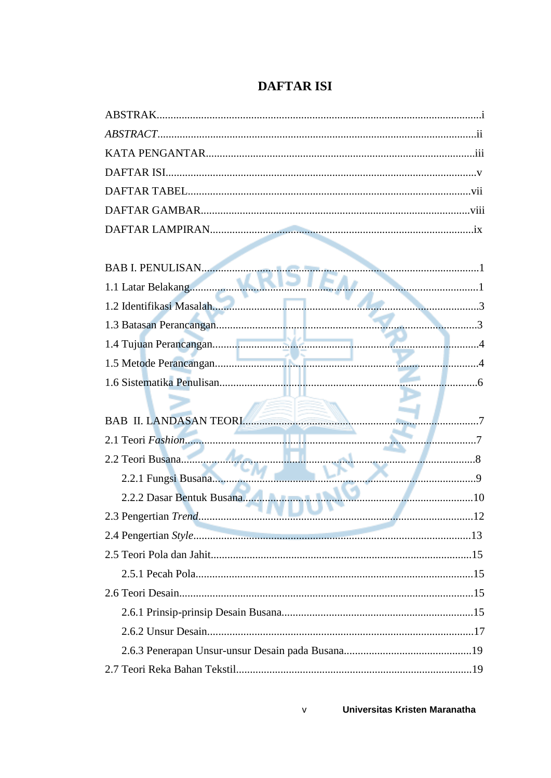## **DAFTAR ISI**

| 6                        |
|--------------------------|
|                          |
| . 7                      |
|                          |
|                          |
| $\overline{\phantom{a}}$ |
|                          |
|                          |
|                          |
|                          |
|                          |
|                          |
|                          |
|                          |
|                          |
|                          |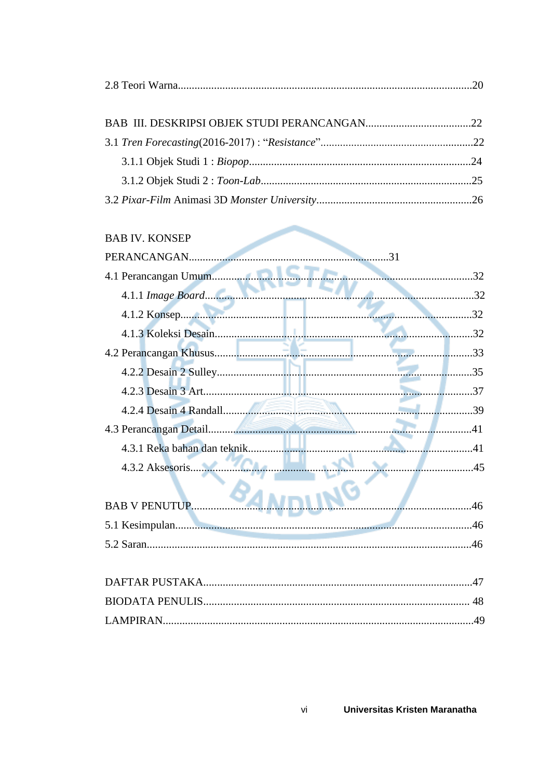|--|

#### **BAB IV. KONSEP**

| <b>BAB IV. KONSEP</b> |    |
|-----------------------|----|
|                       |    |
|                       |    |
|                       |    |
|                       |    |
|                       |    |
|                       |    |
|                       |    |
|                       |    |
|                       | 39 |
|                       | 41 |
|                       |    |
|                       |    |
|                       |    |
| <b>BAB V PENUTUP</b>  |    |
|                       |    |
|                       |    |
|                       |    |
|                       |    |
|                       | 48 |
| LAMPIRAN.             | 49 |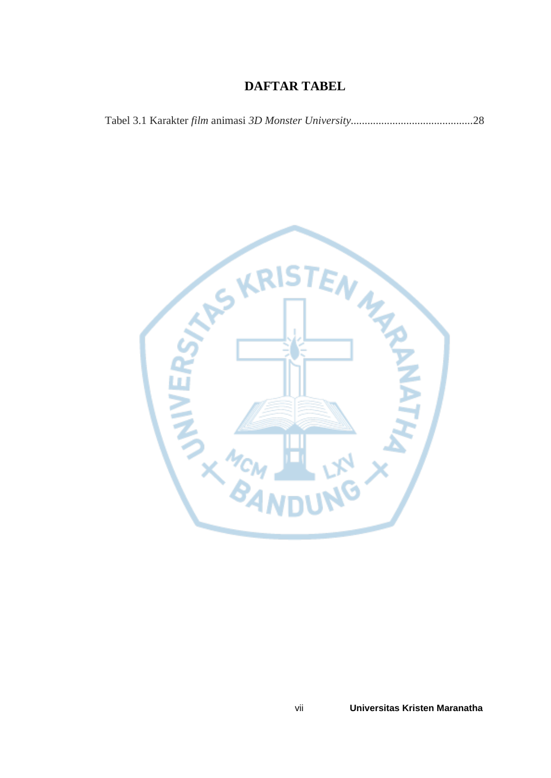## **DAFTAR TABEL**

|--|--|

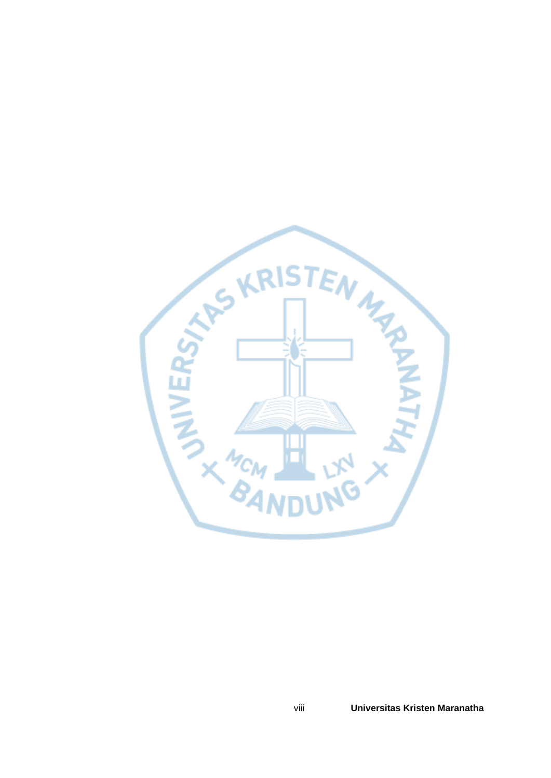

viii **Universitas Kristen Maranatha**